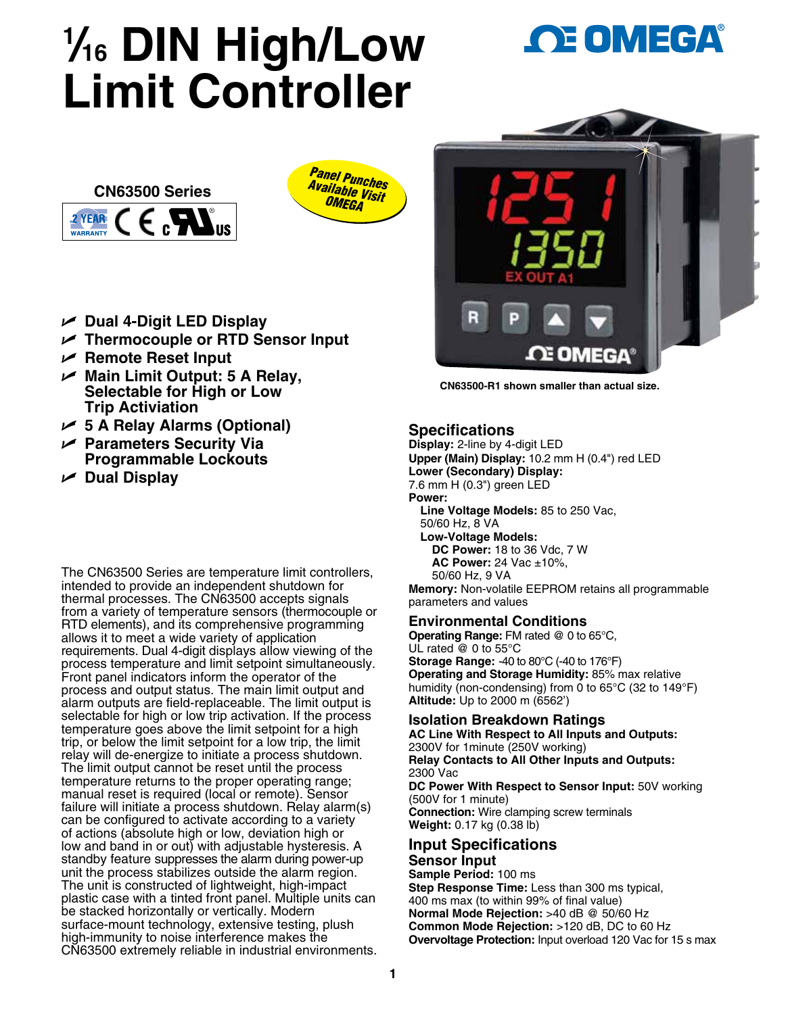# **1** */***16 DIN High/Low Limit Controller**





- U **Dual 4-Digit LED Display**
- U **Thermocouple or RTD Sensor Input**
- U **Remote Reset Input**
- U **Main Limit Output: 5 A Relay, Selectable for High or Low Trip Activiation**
- U **5 A Relay Alarms (Optional)**
- U **Parameters Security Via Programmable Lockouts**
- U **Dual Display**

The CN63500 Series are temperature limit controllers, intended to provide an independent shutdown for thermal processes. The CN63500 accepts signals from a variety of temperature sensors (thermocouple or RTD elements), and its comprehensive programming allows it to meet a wide variety of application requirements. Dual 4-digit displays allow viewing of the process temperature and limit setpoint simultaneously. Front panel indicators inform the operator of the process and output status. The main limit output and alarm outputs are field-replaceable. The limit output is selectable for high or low trip activation. If the process temperature goes above the limit setpoint for a high trip, or below the limit setpoint for a low trip, the limit relay will de-energize to initiate a process shutdown. The limit output cannot be reset until the process temperature returns to the proper operating range; manual reset is required (local or remote). Sensor failure will initiate a process shutdown. Relay alarm(s) can be configured to activate according to a variety of actions (absolute high or low, deviation high or low and band in or out) with adjustable hysteresis. A standby feature suppresses the alarm during power-up unit the process stabilizes outside the alarm region. The unit is constructed of lightweight, high-impact plastic case with a tinted front panel. Multiple units can be stacked horizontally or vertically. Modern surface-mount technology, extensive testing, plush high-immunity to noise interference makes the CN63500 extremely reliable in industrial environments.





**CN63500-R1 shown smaller than actual size.**

# **Specifications**

**Display:** 2-line by 4-digit LED **Upper (Main) Display:** 10.2 mm H (0.4") red LED **Lower (Secondary) Display:**  7.6 mm H (0.3") green LED **Power: Line Voltage Models:** 85 to 250 Vac, 50/60 Hz, 8 VA **Low-Voltage Models: DC Power:** 18 to 36 Vdc, 7 W **AC Power:** 24 Vac ±10%, 50/60 Hz, 9 VA

**Memory:** Non-volatile EEPROM retains all programmable parameters and values

# **Environmental Conditions**

**Operating Range:** FM rated @ 0 to 65°C, UL rated @ 0 to 55°C **Storage Range:** -40 to 80°C (-40 to 176°F) **Operating and Storage Humidity:** 85% max relative humidity (non-condensing) from 0 to 65°C (32 to 149°F) **Altitude:** Up to 2000 m (6562')

# **Isolation Breakdown Ratings**

**AC Line With Respect to All Inputs and Outputs:** 2300V for 1minute (250V working) **Relay Contacts to All Other Inputs and Outputs:** 2300 Vac **DC Power With Respect to Sensor Input:** 50V working (500V for 1 minute) **Connection:** Wire clamping screw terminals **Weight:** 0.17 kg (0.38 lb) **Input Specifications Sensor Input**

**Sample Period:** 100 ms **Step Response Time:** Less than 300 ms typical, 400 ms max (to within 99% of final value) **Normal Mode Rejection:** >40 dB @ 50/60 Hz **Common Mode Rejection:** >120 dB, DC to 60 Hz **Overvoltage Protection:** Input overload 120 Vac for 15 s max